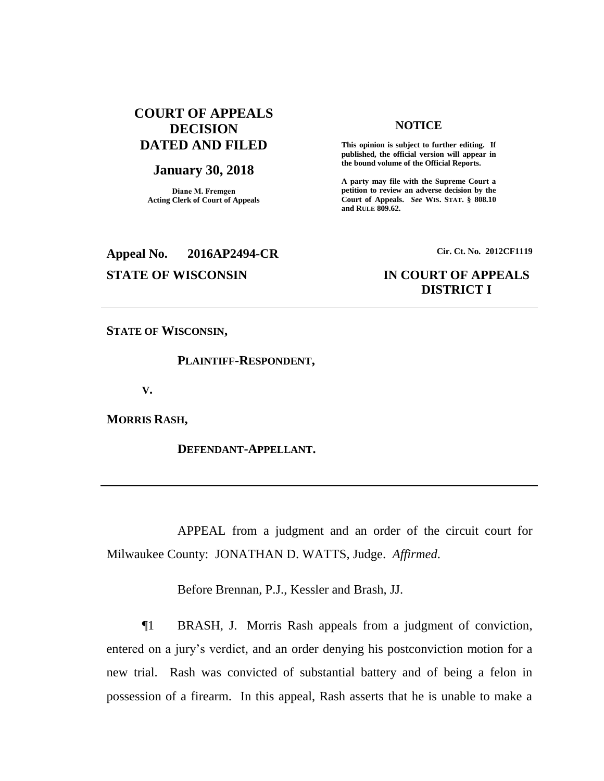# **COURT OF APPEALS DECISION DATED AND FILED**

### **January 30, 2018**

**Diane M. Fremgen Acting Clerk of Court of Appeals**

# **Appeal No. 2016AP2494-CR Cir. Ct. No. 2012CF1119**

#### **NOTICE**

**This opinion is subject to further editing. If published, the official version will appear in the bound volume of the Official Reports.** 

**A party may file with the Supreme Court a petition to review an adverse decision by the Court of Appeals.** *See* **WIS. STAT. § 808.10 and RULE 809.62.** 

## **STATE OF WISCONSIN IN COURT OF APPEALS DISTRICT I**

**STATE OF WISCONSIN,**

**PLAINTIFF-RESPONDENT,**

**V.**

**MORRIS RASH,**

**DEFENDANT-APPELLANT.**

APPEAL from a judgment and an order of the circuit court for Milwaukee County: JONATHAN D. WATTS, Judge. *Affirmed*.

Before Brennan, P.J., Kessler and Brash, JJ.

¶1 BRASH, J. Morris Rash appeals from a judgment of conviction, entered on a jury's verdict, and an order denying his postconviction motion for a new trial. Rash was convicted of substantial battery and of being a felon in possession of a firearm. In this appeal, Rash asserts that he is unable to make a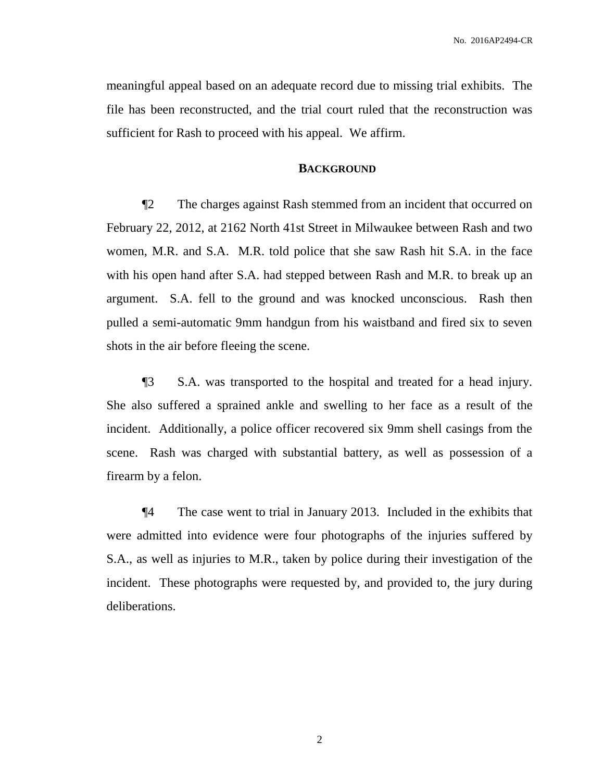meaningful appeal based on an adequate record due to missing trial exhibits. The file has been reconstructed, and the trial court ruled that the reconstruction was sufficient for Rash to proceed with his appeal. We affirm.

### **BACKGROUND**

¶2 The charges against Rash stemmed from an incident that occurred on February 22, 2012, at 2162 North 41st Street in Milwaukee between Rash and two women, M.R. and S.A. M.R. told police that she saw Rash hit S.A. in the face with his open hand after S.A. had stepped between Rash and M.R. to break up an argument. S.A. fell to the ground and was knocked unconscious. Rash then pulled a semi-automatic 9mm handgun from his waistband and fired six to seven shots in the air before fleeing the scene.

¶3 S.A. was transported to the hospital and treated for a head injury. She also suffered a sprained ankle and swelling to her face as a result of the incident. Additionally, a police officer recovered six 9mm shell casings from the scene. Rash was charged with substantial battery, as well as possession of a firearm by a felon.

¶4 The case went to trial in January 2013. Included in the exhibits that were admitted into evidence were four photographs of the injuries suffered by S.A., as well as injuries to M.R., taken by police during their investigation of the incident. These photographs were requested by, and provided to, the jury during deliberations.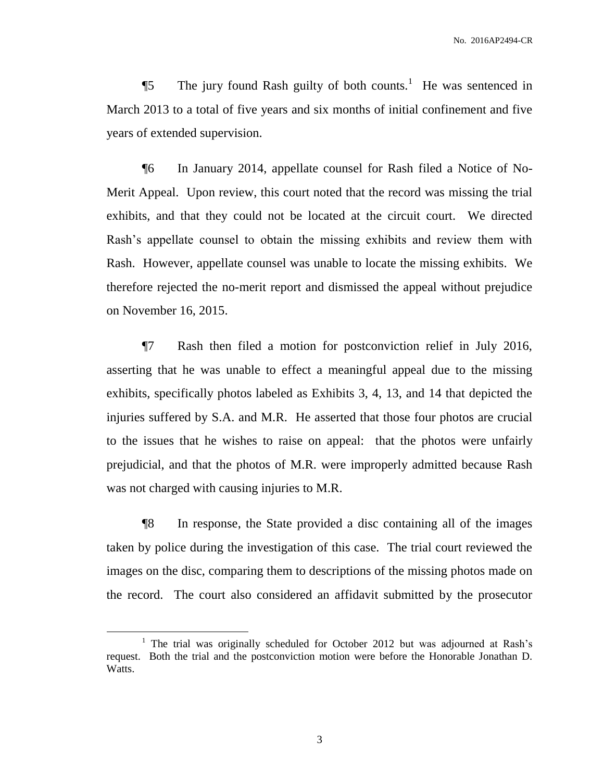$\P$ 5 The jury found Rash guilty of both counts.<sup>1</sup> He was sentenced in March 2013 to a total of five years and six months of initial confinement and five years of extended supervision.

¶6 In January 2014, appellate counsel for Rash filed a Notice of No-Merit Appeal. Upon review, this court noted that the record was missing the trial exhibits, and that they could not be located at the circuit court. We directed Rash's appellate counsel to obtain the missing exhibits and review them with Rash. However, appellate counsel was unable to locate the missing exhibits. We therefore rejected the no-merit report and dismissed the appeal without prejudice on November 16, 2015.

¶7 Rash then filed a motion for postconviction relief in July 2016, asserting that he was unable to effect a meaningful appeal due to the missing exhibits, specifically photos labeled as Exhibits 3, 4, 13, and 14 that depicted the injuries suffered by S.A. and M.R. He asserted that those four photos are crucial to the issues that he wishes to raise on appeal: that the photos were unfairly prejudicial, and that the photos of M.R. were improperly admitted because Rash was not charged with causing injuries to M.R.

¶8 In response, the State provided a disc containing all of the images taken by police during the investigation of this case. The trial court reviewed the images on the disc, comparing them to descriptions of the missing photos made on the record. The court also considered an affidavit submitted by the prosecutor

 $\overline{a}$ 

<sup>&</sup>lt;sup>1</sup> The trial was originally scheduled for October 2012 but was adjourned at Rash's request. Both the trial and the postconviction motion were before the Honorable Jonathan D. Watts.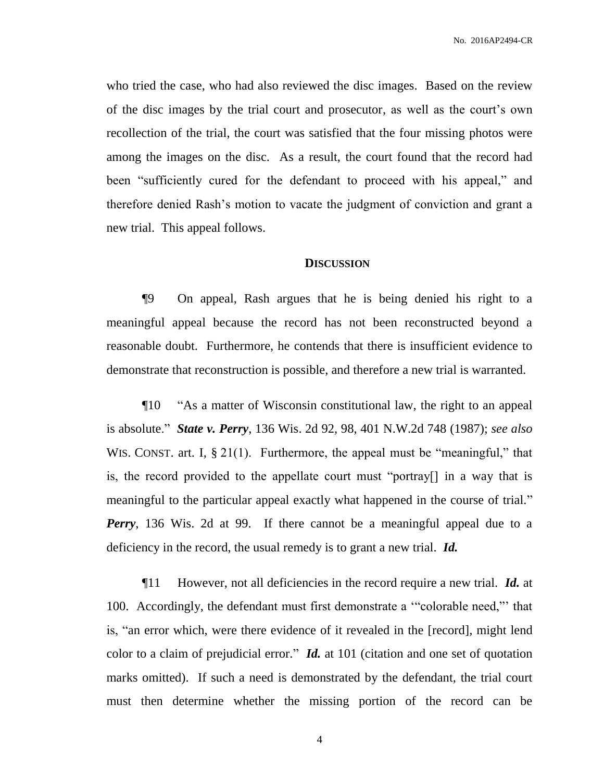who tried the case, who had also reviewed the disc images. Based on the review of the disc images by the trial court and prosecutor, as well as the court's own recollection of the trial, the court was satisfied that the four missing photos were among the images on the disc. As a result, the court found that the record had been "sufficiently cured for the defendant to proceed with his appeal," and therefore denied Rash's motion to vacate the judgment of conviction and grant a new trial. This appeal follows.

#### **DISCUSSION**

¶9 On appeal, Rash argues that he is being denied his right to a meaningful appeal because the record has not been reconstructed beyond a reasonable doubt. Furthermore, he contends that there is insufficient evidence to demonstrate that reconstruction is possible, and therefore a new trial is warranted.

¶10 "As a matter of Wisconsin constitutional law, the right to an appeal is absolute." *State v. Perry*, 136 Wis. 2d 92, 98, 401 N.W.2d 748 (1987); *see also* WIS. CONST. art. I, § 21(1). Furthermore, the appeal must be "meaningful," that is, the record provided to the appellate court must "portray[] in a way that is meaningful to the particular appeal exactly what happened in the course of trial." *Perry*, 136 Wis. 2d at 99. If there cannot be a meaningful appeal due to a deficiency in the record, the usual remedy is to grant a new trial. *Id.*

¶11 However, not all deficiencies in the record require a new trial. *Id.* at 100. Accordingly, the defendant must first demonstrate a '"colorable need,"' that is, "an error which, were there evidence of it revealed in the [record], might lend color to a claim of prejudicial error." *Id.* at 101 (citation and one set of quotation marks omitted). If such a need is demonstrated by the defendant, the trial court must then determine whether the missing portion of the record can be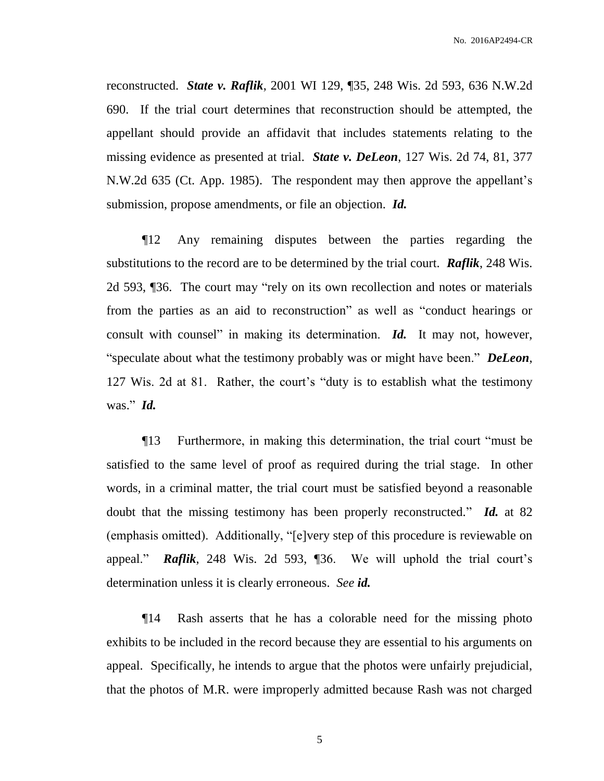reconstructed. *State v. Raflik*, 2001 WI 129, ¶35, 248 Wis. 2d 593, 636 N.W.2d 690. If the trial court determines that reconstruction should be attempted, the appellant should provide an affidavit that includes statements relating to the missing evidence as presented at trial. *State v. DeLeon*, 127 Wis. 2d 74, 81, 377 N.W.2d 635 (Ct. App. 1985). The respondent may then approve the appellant's submission, propose amendments, or file an objection. *Id.*

¶12 Any remaining disputes between the parties regarding the substitutions to the record are to be determined by the trial court. *Raflik*, 248 Wis. 2d 593, ¶36. The court may "rely on its own recollection and notes or materials from the parties as an aid to reconstruction" as well as "conduct hearings or consult with counsel" in making its determination. *Id.* It may not, however, "speculate about what the testimony probably was or might have been." *DeLeon*, 127 Wis. 2d at 81. Rather, the court's "duty is to establish what the testimony was." *Id.*

¶13 Furthermore, in making this determination, the trial court "must be satisfied to the same level of proof as required during the trial stage. In other words, in a criminal matter, the trial court must be satisfied beyond a reasonable doubt that the missing testimony has been properly reconstructed." *Id.* at 82 (emphasis omitted). Additionally, "[e]very step of this procedure is reviewable on appeal." *Raflik*, 248 Wis. 2d 593, ¶36. We will uphold the trial court's determination unless it is clearly erroneous. *See id.*

¶14 Rash asserts that he has a colorable need for the missing photo exhibits to be included in the record because they are essential to his arguments on appeal. Specifically, he intends to argue that the photos were unfairly prejudicial, that the photos of M.R. were improperly admitted because Rash was not charged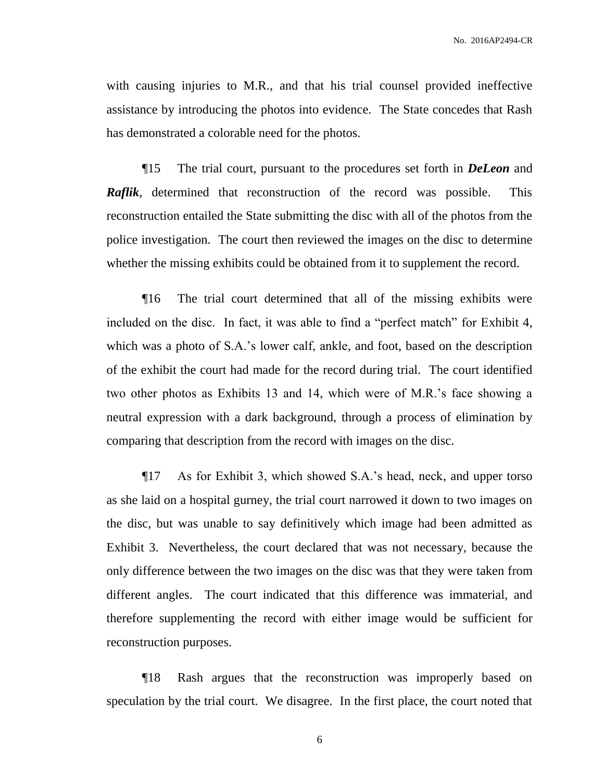with causing injuries to M.R., and that his trial counsel provided ineffective assistance by introducing the photos into evidence. The State concedes that Rash has demonstrated a colorable need for the photos.

¶15 The trial court, pursuant to the procedures set forth in *DeLeon* and *Raflik*, determined that reconstruction of the record was possible. This reconstruction entailed the State submitting the disc with all of the photos from the police investigation. The court then reviewed the images on the disc to determine whether the missing exhibits could be obtained from it to supplement the record.

¶16 The trial court determined that all of the missing exhibits were included on the disc. In fact, it was able to find a "perfect match" for Exhibit 4, which was a photo of S.A.'s lower calf, ankle, and foot, based on the description of the exhibit the court had made for the record during trial. The court identified two other photos as Exhibits 13 and 14, which were of M.R.'s face showing a neutral expression with a dark background, through a process of elimination by comparing that description from the record with images on the disc.

¶17 As for Exhibit 3, which showed S.A.'s head, neck, and upper torso as she laid on a hospital gurney, the trial court narrowed it down to two images on the disc, but was unable to say definitively which image had been admitted as Exhibit 3. Nevertheless, the court declared that was not necessary, because the only difference between the two images on the disc was that they were taken from different angles. The court indicated that this difference was immaterial, and therefore supplementing the record with either image would be sufficient for reconstruction purposes.

¶18 Rash argues that the reconstruction was improperly based on speculation by the trial court. We disagree. In the first place, the court noted that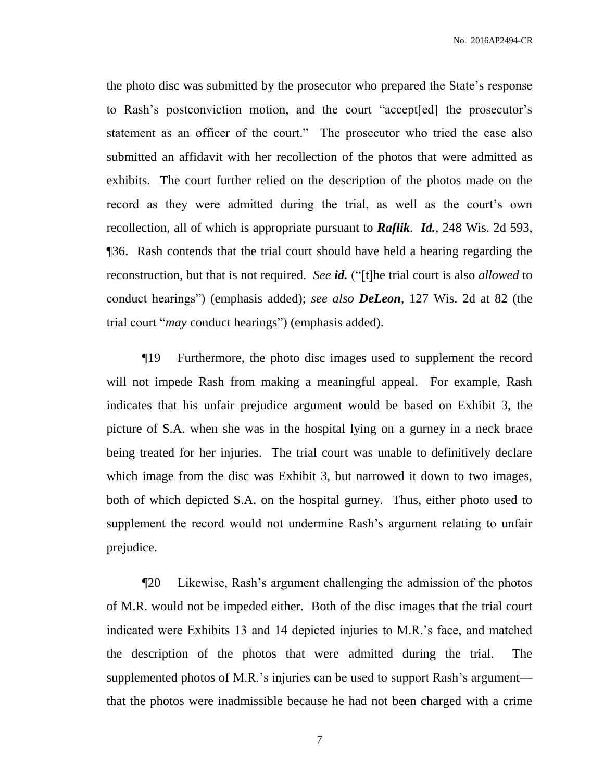the photo disc was submitted by the prosecutor who prepared the State's response to Rash's postconviction motion, and the court "accept[ed] the prosecutor's statement as an officer of the court." The prosecutor who tried the case also submitted an affidavit with her recollection of the photos that were admitted as exhibits. The court further relied on the description of the photos made on the record as they were admitted during the trial, as well as the court's own recollection, all of which is appropriate pursuant to *Raflik*. *Id.*, 248 Wis. 2d 593, ¶36. Rash contends that the trial court should have held a hearing regarding the reconstruction, but that is not required. *See id.* ("[t]he trial court is also *allowed* to conduct hearings") (emphasis added); *see also DeLeon*, 127 Wis. 2d at 82 (the trial court "*may* conduct hearings") (emphasis added).

¶19 Furthermore, the photo disc images used to supplement the record will not impede Rash from making a meaningful appeal. For example, Rash indicates that his unfair prejudice argument would be based on Exhibit 3, the picture of S.A. when she was in the hospital lying on a gurney in a neck brace being treated for her injuries. The trial court was unable to definitively declare which image from the disc was Exhibit 3, but narrowed it down to two images, both of which depicted S.A. on the hospital gurney. Thus, either photo used to supplement the record would not undermine Rash's argument relating to unfair prejudice.

¶20 Likewise, Rash's argument challenging the admission of the photos of M.R. would not be impeded either. Both of the disc images that the trial court indicated were Exhibits 13 and 14 depicted injuries to M.R.'s face, and matched the description of the photos that were admitted during the trial. The supplemented photos of M.R.'s injuries can be used to support Rash's argument that the photos were inadmissible because he had not been charged with a crime